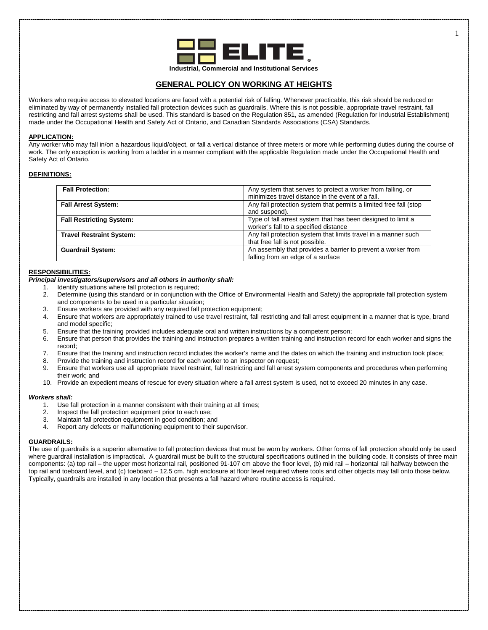

# **GENERAL POLICY ON WORKING AT HEIGHTS**

Workers who require access to elevated locations are faced with a potential risk of falling. Whenever practicable, this risk should be reduced or eliminated by way of permanently installed fall protection devices such as guardrails. Where this is not possible, appropriate travel restraint, fall restricting and fall arrest systems shall be used. This standard is based on the Regulation 851, as amended (Regulation for Industrial Establishment) made under the Occupational Health and Safety Act of Ontario, and Canadian Standards Associations (CSA) Standards.

### **APPLICATION:**

Any worker who may fall in/on a hazardous liquid/object, or fall a vertical distance of three meters or more while performing duties during the course of work. The only exception is working from a ladder in a manner compliant with the applicable Regulation made under the Occupational Health and Safety Act of Ontario.

## **DEFINITIONS:**

| <b>Fall Protection:</b>         | Any system that serves to protect a worker from falling, or       |
|---------------------------------|-------------------------------------------------------------------|
|                                 | minimizes travel distance in the event of a fall.                 |
| <b>Fall Arrest System:</b>      | Any fall protection system that permits a limited free fall (stop |
|                                 | and suspend).                                                     |
| <b>Fall Restricting System:</b> | Type of fall arrest system that has been designed to limit a      |
|                                 | worker's fall to a specified distance                             |
| <b>Travel Restraint System:</b> | Any fall protection system that limits travel in a manner such    |
|                                 | that free fall is not possible.                                   |
| <b>Guardrail System:</b>        | An assembly that provides a barrier to prevent a worker from      |
|                                 | falling from an edge of a surface                                 |

### **RESPONSIBILITIES:**

## *Principal investigators/supervisors and all others in authority shall:*

- 1. Identify situations where fall protection is required;<br>2. Determine (using this standard or in conjunction wi
- 2. Determine (using this standard or in conjunction with the Office of Environmental Health and Safety) the appropriate fall protection system and components to be used in a particular situation;
- 3. Ensure workers are provided with any required fall protection equipment;
- 4. Ensure that workers are appropriately trained to use travel restraint, fall restricting and fall arrest equipment in a manner that is type, brand and model specific;
- 5. Ensure that the training provided includes adequate oral and written instructions by a competent person;<br>6. Ensure that person that provides the training and instruction prepares a written training and instruction re
- 6. Ensure that person that provides the training and instruction prepares a written training and instruction record for each worker and signs the record;
- 7. Ensure that the training and instruction record includes the worker's name and the dates on which the training and instruction took place;
- 8. Provide the training and instruction record for each worker to an inspector on request;
- 9. Ensure that workers use all appropriate travel restraint, fall restricting and fall arrest system components and procedures when performing their work; and
- 10. Provide an expedient means of rescue for every situation where a fall arrest system is used, not to exceed 20 minutes in any case.

## *Workers shall:*

- 1. Use fall protection in a manner consistent with their training at all times;<br>2. Inspect the fall protection equipment prior to each use:
- 2. Inspect the fall protection equipment prior to each use;<br>3. Maintain fall protection equipment in good condition; an
- 3. Maintain fall protection equipment in good condition; and 4. Report any defects or malfunctioning equipment to their s
- Report any defects or malfunctioning equipment to their supervisor.

## **GUARDRAILS:**

The use of guardrails is a superior alternative to fall protection devices that must be worn by workers. Other forms of fall protection should only be used where guardrail installation is impractical. A guardrail must be built to the structural specifications outlined in the building code. It consists of three main components: (a) top rail – the upper most horizontal rail, positioned 91-107 cm above the floor level, (b) mid rail – horizontal rail halfway between the top rail and toeboard level, and (c) toeboard – 12.5 cm. high enclosure at floor level required where tools and other objects may fall onto those below. Typically, guardrails are installed in any location that presents a fall hazard where routine access is required.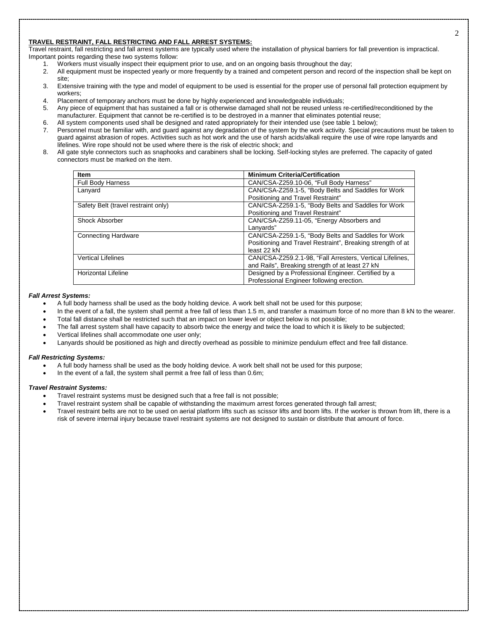### **TRAVEL RESTRAINT, FALL RESTRICTING AND FALL ARREST SYSTEMS:**

Travel restraint, fall restricting and fall arrest systems are typically used where the installation of physical barriers for fall prevention is impractical. Important points regarding these two systems follow:

- 1. Workers must visually inspect their equipment prior to use, and on an ongoing basis throughout the day;<br>2. All equipment must be inspected yearly or more frequently by a trained and competent person and record
- 2. All equipment must be inspected yearly or more frequently by a trained and competent person and record of the inspection shall be kept on site;
- 3. Extensive training with the type and model of equipment to be used is essential for the proper use of personal fall protection equipment by workers;
- 4. Placement of temporary anchors must be done by highly experienced and knowledgeable individuals;
- 5. Any piece of equipment that has sustained a fall or is otherwise damaged shall not be reused unless re-certified/reconditioned by the manufacturer. Equipment that cannot be re-certified is to be destroyed in a manner that eliminates potential reuse;
- 6. All system components used shall be designed and rated appropriately for their intended use (see table 1 below);<br>7. Personnel must be familiar with, and quard against any degradation of the system by the work activity.
- Personnel must be familiar with, and guard against any degradation of the system by the work activity. Special precautions must be taken to guard against abrasion of ropes. Activities such as hot work and the use of harsh acids/alkali require the use of wire rope lanyards and lifelines. Wire rope should not be used where there is the risk of electric shock; and
- 8. All gate style connectors such as snaphooks and carabiners shall be locking. Self-locking styles are preferred. The capacity of gated connectors must be marked on the item.

| <b>Item</b>                         | <b>Minimum Criteria/Certification</b>                      |
|-------------------------------------|------------------------------------------------------------|
| <b>Full Body Harness</b>            | CAN/CSA-Z259.10-06, "Full Body Harness"                    |
| Lanyard                             | CAN/CSA-Z259.1-5, "Body Belts and Saddles for Work         |
|                                     | Positioning and Travel Restraint"                          |
| Safety Belt (travel restraint only) | CAN/CSA-Z259.1-5, "Body Belts and Saddles for Work         |
|                                     | Positioning and Travel Restraint"                          |
| Shock Absorber                      | CAN/CSA-Z259.11-05, "Energy Absorbers and                  |
|                                     | Lanyards"                                                  |
| <b>Connecting Hardware</b>          | CAN/CSA-Z259.1-5, "Body Belts and Saddles for Work         |
|                                     | Positioning and Travel Restraint", Breaking strength of at |
|                                     | least 22 kN                                                |
| <b>Vertical Lifelines</b>           | CAN/CSA-Z259.2.1-98, "Fall Arresters, Vertical Lifelines,  |
|                                     | and Rails", Breaking strength of at least 27 kN            |
| Horizontal Lifeline                 | Designed by a Professional Engineer. Certified by a        |
|                                     | Professional Engineer following erection.                  |

### *Fall Arrest Systems:*

- A full body harness shall be used as the body holding device. A work belt shall not be used for this purpose;
- In the event of a fall, the system shall permit a free fall of less than 1.5 m, and transfer a maximum force of no more than 8 kN to the wearer.
- Total fall distance shall be restricted such that an impact on lower level or object below is not possible;
- The fall arrest system shall have capacity to absorb twice the energy and twice the load to which it is likely to be subjected;
- Vertical lifelines shall accommodate one user only;
- Lanyards should be positioned as high and directly overhead as possible to minimize pendulum effect and free fall distance.

## *Fall Restricting Systems:*

- A full body harness shall be used as the body holding device. A work belt shall not be used for this purpose;
- In the event of a fall, the system shall permit a free fall of less than 0.6m;

### *Travel Restraint Systems:*

- Travel restraint systems must be designed such that a free fall is not possible;
- Travel restraint system shall be capable of withstanding the maximum arrest forces generated through fall arrest;
- Travel restraint belts are not to be used on aerial platform lifts such as scissor lifts and boom lifts. If the worker is thrown from lift, there is a risk of severe internal injury because travel restraint systems are not designed to sustain or distribute that amount of force.